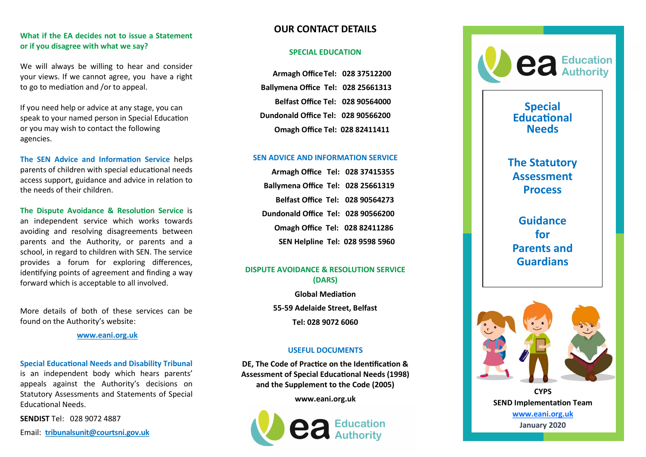## **What if the EA decides not to issue a Statement or if you disagree with what we say?**

We will always be willing to hear and consider your views. If we cannot agree, you have a right to go to mediation and /or to appeal.

If you need help or advice at any stage, you can speak to your named person in Special Education or you may wish to contact the following agencies.

**The SEN Advice and Information Service** helps parents of children with special educational needs access support, guidance and advice in relation to the needs of their children.

**The Dispute Avoidance & Resolution Service** is an independent service which works towards avoiding and resolving disagreements between parents and the Authority, or parents and a school, in regard to children with SEN. The service provides a forum for exploring differences, identifying points of agreement and finding a way forward which is acceptable to all involved.

More details of both of these services can be found on the Authority 's website:

**[www.eani.org.uk](http://www.eani.org.uk)**

#### **Special Educational Needs and Disability Tribunal**

is an independent body which hears parents' appeals against the Authority 's decisions on Statutory Assessments and Statements of Special Educational Needs.

**SENDIST** Tel: 028 9072 4887

Email: **[tribunalsunit@courtsni.gov.uk](mailto:tribunalsunit@courtsni.gov.uk)**

# **OUR CONTACT DETAILS**

### **SPECIAL EDUCATION**

 **Armagh OfficeTel: 028 37512200 Ballymena Office Tel: 028 25661313 Belfast Office Tel: 028 90564000 Dundonald Office Tel: 028 90566200 Omagh Office Tel: 028 82411411**

### **SEN ADVICE AND INFORMATION SERVICE**

 **Armagh Office Tel: 028 37415355 Ballymena Office Tel: 028 25661319 Belfast Office Tel: 028 90564273 Dundonald Office Tel: 028 90566200 Omagh Office Tel: 028 82411286 SEN Helpline Tel: 028 9598 5960**

### **DISPUTE AVOIDANCE & RESOLUTION SERVICE (DARS)**

**Global Mediation 55 -59 Adelaide Street, Belfast Tel: 028 9072 6060**

### **USEFUL DOCUMENTS**

**DE, The Code of Practice on the Identification & Assessment of Special Educational Needs (1998) and the Supplement to the Code (2005)**

**[www.eani.org.uk](http://www.eani.org.uk)**





# **Special Educational Needs**

**The Statutory Assessment Process**

**Guidance for Parents and Guardians**